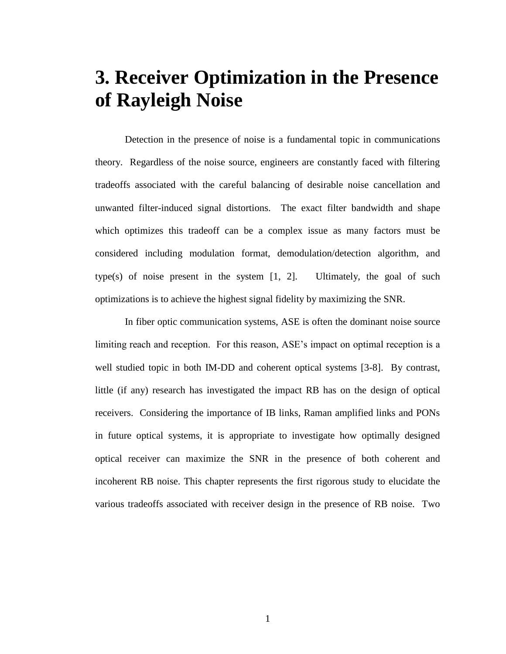# **3. Receiver Optimization in the Presence of Rayleigh Noise**

Detection in the presence of noise is a fundamental topic in communications theory. Regardless of the noise source, engineers are constantly faced with filtering tradeoffs associated with the careful balancing of desirable noise cancellation and unwanted filter-induced signal distortions. The exact filter bandwidth and shape which optimizes this tradeoff can be a complex issue as many factors must be considered including modulation format, demodulation/detection algorithm, and type(s) of noise present in the system  $[1, 2]$ . Ultimately, the goal of such optimizations is to achieve the highest signal fidelity by maximizing the SNR.

In fiber optic communication systems, ASE is often the dominant noise source limiting reach and reception. For this reason, ASE's impact on optimal reception is a well studied topic in both IM-DD and coherent optical systems [3-8]. By contrast, little (if any) research has investigated the impact RB has on the design of optical receivers. Considering the importance of IB links, Raman amplified links and PONs in future optical systems, it is appropriate to investigate how optimally designed optical receiver can maximize the SNR in the presence of both coherent and incoherent RB noise. This chapter represents the first rigorous study to elucidate the various tradeoffs associated with receiver design in the presence of RB noise. Two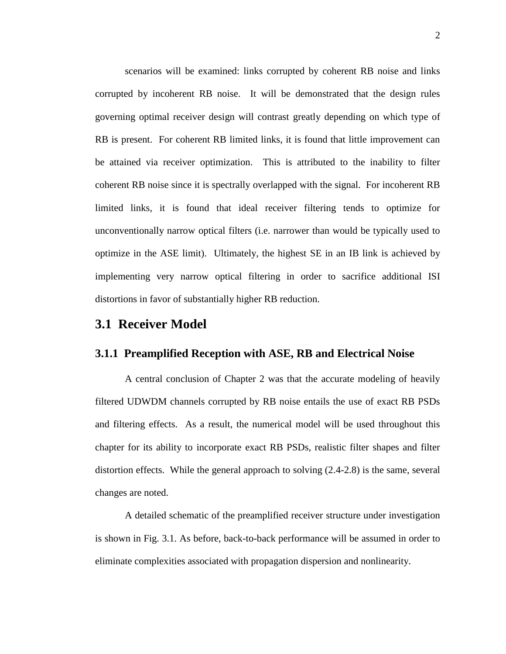scenarios will be examined: links corrupted by coherent RB noise and links corrupted by incoherent RB noise. It will be demonstrated that the design rules governing optimal receiver design will contrast greatly depending on which type of RB is present. For coherent RB limited links, it is found that little improvement can be attained via receiver optimization. This is attributed to the inability to filter coherent RB noise since it is spectrally overlapped with the signal. For incoherent RB limited links, it is found that ideal receiver filtering tends to optimize for unconventionally narrow optical filters (i.e. narrower than would be typically used to optimize in the ASE limit). Ultimately, the highest SE in an IB link is achieved by implementing very narrow optical filtering in order to sacrifice additional ISI distortions in favor of substantially higher RB reduction.

## **3.1 Receiver Model**

#### **3.1.1 Preamplified Reception with ASE, RB and Electrical Noise**

A central conclusion of Chapter 2 was that the accurate modeling of heavily filtered UDWDM channels corrupted by RB noise entails the use of exact RB PSDs and filtering effects. As a result, the numerical model will be used throughout this chapter for its ability to incorporate exact RB PSDs, realistic filter shapes and filter distortion effects. While the general approach to solving (2.4-2.8) is the same, several changes are noted.

A detailed schematic of the preamplified receiver structure under investigation is shown in Fig. 3.1. As before, back-to-back performance will be assumed in order to eliminate complexities associated with propagation dispersion and nonlinearity.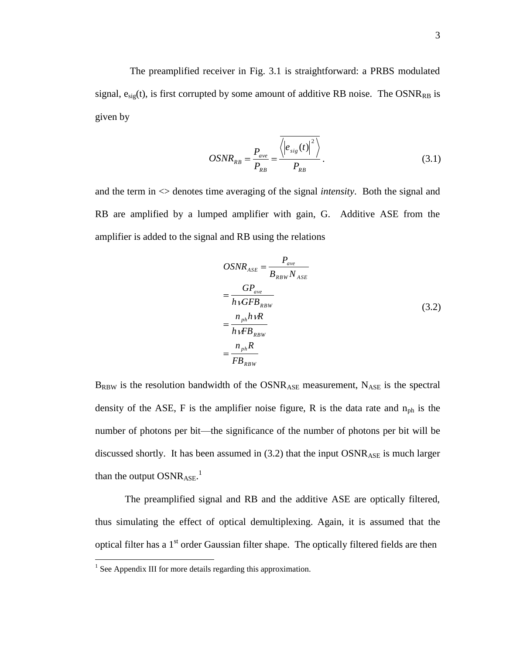The preamplified receiver in Fig. 3.1 is straightforward: a PRBS modulated signal,  $e_{sig}(t)$ , is first corrupted by some amount of additive RB noise. The OSNR<sub>RB</sub> is given by

$$
OSNR_{RB} = \frac{P_{ave}}{P_{RB}} = \frac{\left\langle \left| e_{sig}(t) \right|^2 \right\rangle}{P_{RB}}.
$$
\n(3.1)

and the term in <> denotes time averaging of the signal *intensity*. Both the signal and RB are amplified by a lumped amplifier with gain, G. Additive ASE from the amplifier is added to the signal and RB using the relations

$$
OSNR_{ASE} = \frac{P_{ave}}{B_{RBW}N_{ASE}}
$$
  
= 
$$
\frac{GP_{ave}}{hVGFB_{RBW}}
$$
  
= 
$$
\frac{n_{ph}hvR}{hVFB_{RBW}}
$$
  
= 
$$
\frac{n_{ph}R}{FB_{RBW}}
$$
 (3.2)

 $B_{RBW}$  is the resolution bandwidth of the OSNR<sub>ASE</sub> measurement, N<sub>ASE</sub> is the spectral density of the ASE, F is the amplifier noise figure, R is the data rate and  $n_{ph}$  is the number of photons per bit—the significance of the number of photons per bit will be discussed shortly. It has been assumed in  $(3.2)$  that the input  $OSNR_{ASE}$  is much larger than the output  $OSNR_{ASE}$ .<sup>1</sup>

The preamplified signal and RB and the additive ASE are optically filtered, thus simulating the effect of optical demultiplexing. Again, it is assumed that the optical filter has a 1<sup>st</sup> order Gaussian filter shape. The optically filtered fields are then

 $\overline{a}$ 

<sup>&</sup>lt;sup>1</sup> See Appendix III for more details regarding this approximation.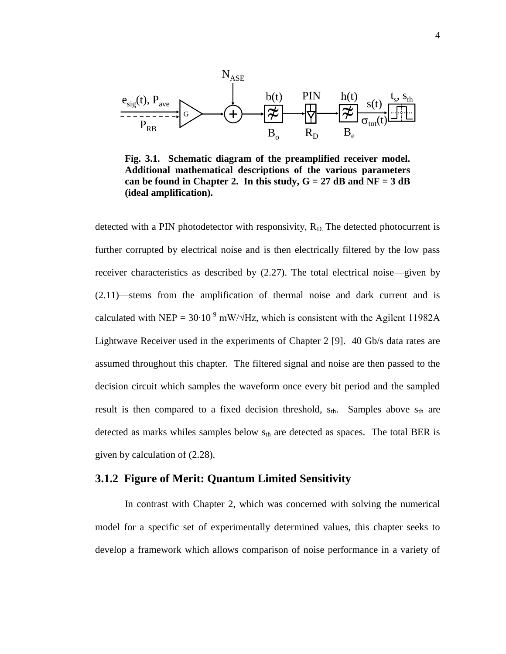

**Fig. 3.1. Schematic diagram of the preamplified receiver model. Additional mathematical descriptions of the various parameters**  can be found in Chapter 2. In this study,  $G = 27$  dB and  $NF = 3$  dB **(ideal amplification).**

detected with a PIN photodetector with responsivity,  $R_D$ . The detected photocurrent is further corrupted by electrical noise and is then electrically filtered by the low pass receiver characteristics as described by (2.27). The total electrical noise—given by (2.11)—stems from the amplification of thermal noise and dark current and is calculated with NEP =  $30.10^{-9}$  mW/ $\sqrt{Hz}$ , which is consistent with the Agilent 11982A Lightwave Receiver used in the experiments of Chapter 2 [9]. 40 Gb/s data rates are assumed throughout this chapter. The filtered signal and noise are then passed to the decision circuit which samples the waveform once every bit period and the sampled result is then compared to a fixed decision threshold,  $s_{th}$ . Samples above  $s_{th}$  are detected as marks whiles samples below  $s_{th}$  are detected as spaces. The total BER is given by calculation of (2.28).

#### **3.1.2 Figure of Merit: Quantum Limited Sensitivity**

In contrast with Chapter 2, which was concerned with solving the numerical model for a specific set of experimentally determined values, this chapter seeks to develop a framework which allows comparison of noise performance in a variety of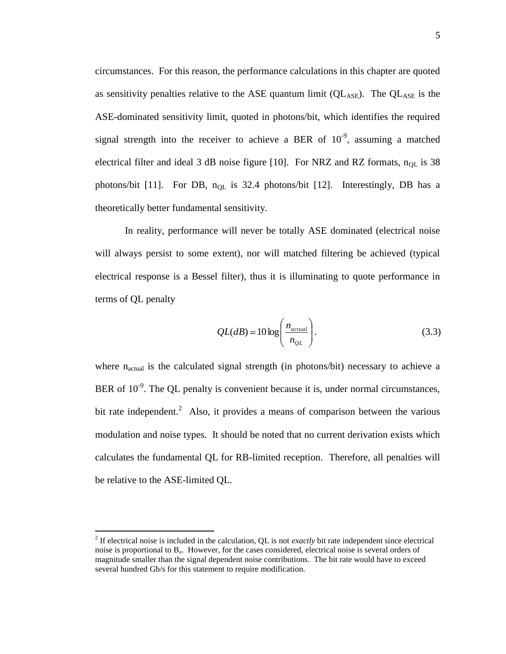circumstances. For this reason, the performance calculations in this chapter are quoted as sensitivity penalties relative to the ASE quantum limit  $(QL_{ASE})$ . The  $QL_{ASE}$  is the ASE-dominated sensitivity limit, quoted in photons/bit, which identifies the required signal strength into the receiver to achieve a BER of  $10^{-9}$ , assuming a matched electrical filter and ideal 3 dB noise figure [10]. For NRZ and RZ formats,  $n_{OL}$  is 38 photons/bit [11]. For DB,  $n_{OL}$  is 32.4 photons/bit [12]. Interestingly, DB has a theoretically better fundamental sensitivity.

In reality, performance will never be totally ASE dominated (electrical noise will always persist to some extent), nor will matched filtering be achieved (typical electrical response is a Bessel filter), thus it is illuminating to quote performance in terms of QL penalty

$$
QL(dB) = 10 \log \left( \frac{n_{actual}}{n_{QL}} \right). \tag{3.3}
$$

where n<sub>actual</sub> is the calculated signal strength (in photons/bit) necessary to achieve a BER of  $10^{-9}$ . The QL penalty is convenient because it is, under normal circumstances, bit rate independent.<sup>2</sup> Also, it provides a means of comparison between the various modulation and noise types. It should be noted that no current derivation exists which calculates the fundamental QL for RB-limited reception. Therefore, all penalties will be relative to the ASE-limited QL.

 $\overline{a}$ 

<sup>&</sup>lt;sup>2</sup> If electrical noise is included in the calculation, QL is not *exactly* bit rate independent since electrical noise is proportional to B<sub>e</sub>. However, for the cases considered, electrical noise is several orders of magnitude smaller than the signal dependent noise contributions. The bit rate would have to exceed several hundred Gb/s for this statement to require modification.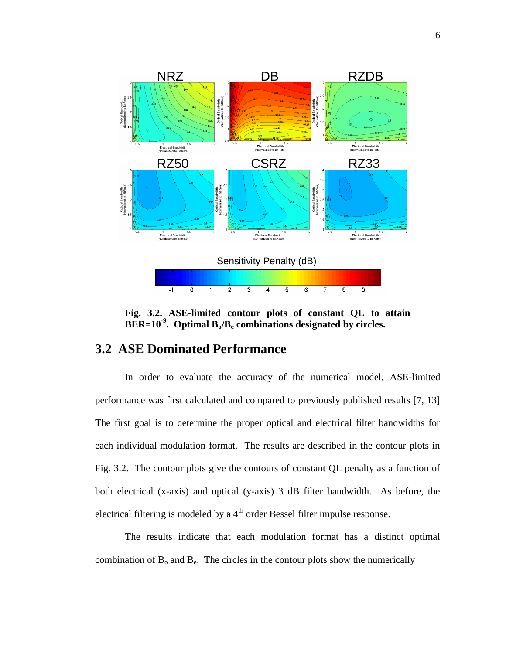

**Fig. 3.2. ASE-limited contour plots of constant QL to attain BER=10-9 . Optimal Bo/B<sup>e</sup> combinations designated by circles.** 

# **3.2 ASE Dominated Performance**

In order to evaluate the accuracy of the numerical model, ASE-limited performance was first calculated and compared to previously published results [7, 13] The first goal is to determine the proper optical and electrical filter bandwidths for each individual modulation format. The results are described in the contour plots in Fig. 3.2. The contour plots give the contours of constant QL penalty as a function of both electrical (x-axis) and optical (y-axis) 3 dB filter bandwidth. As before, the electrical filtering is modeled by a 4<sup>th</sup> order Bessel filter impulse response.

The results indicate that each modulation format has a distinct optimal combination of  $B_0$  and  $B_e$ . The circles in the contour plots show the numerically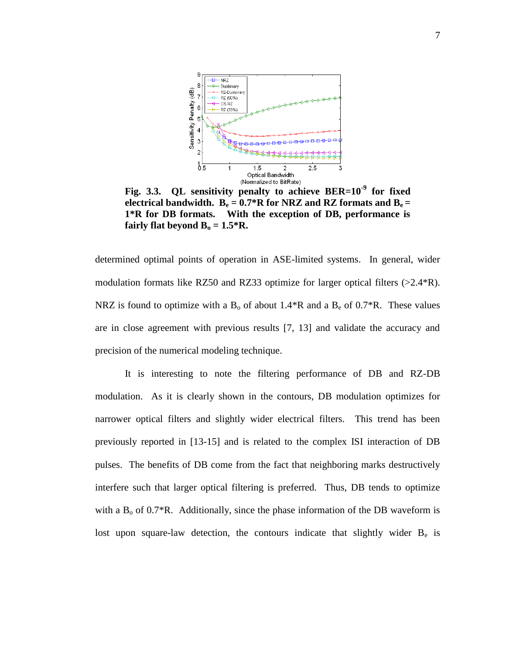

**Fig. 3.3. QL sensitivity penalty to achieve BER=10-9 for fixed electrical bandwidth.**  $B_e = 0.7 * R$  for NRZ and RZ formats and  $B_e =$ **1\*R for DB formats. With the exception of DB, performance is fairly flat beyond**  $B_0 = 1.5 \times R$ **.** 

determined optimal points of operation in ASE-limited systems. In general, wider modulation formats like RZ50 and RZ33 optimize for larger optical filters (>2.4\*R). NRZ is found to optimize with a  $B_0$  of about 1.4<sup>\*</sup>R and a  $B_0$  of 0.7<sup>\*</sup>R. These values are in close agreement with previous results [7, 13] and validate the accuracy and precision of the numerical modeling technique.

It is interesting to note the filtering performance of DB and RZ-DB modulation. As it is clearly shown in the contours, DB modulation optimizes for narrower optical filters and slightly wider electrical filters. This trend has been previously reported in [13-15] and is related to the complex ISI interaction of DB pulses. The benefits of DB come from the fact that neighboring marks destructively interfere such that larger optical filtering is preferred. Thus, DB tends to optimize with a  $B_0$  of 0.7<sup>\*</sup>R. Additionally, since the phase information of the DB waveform is lost upon square-law detection, the contours indicate that slightly wider  $B_e$  is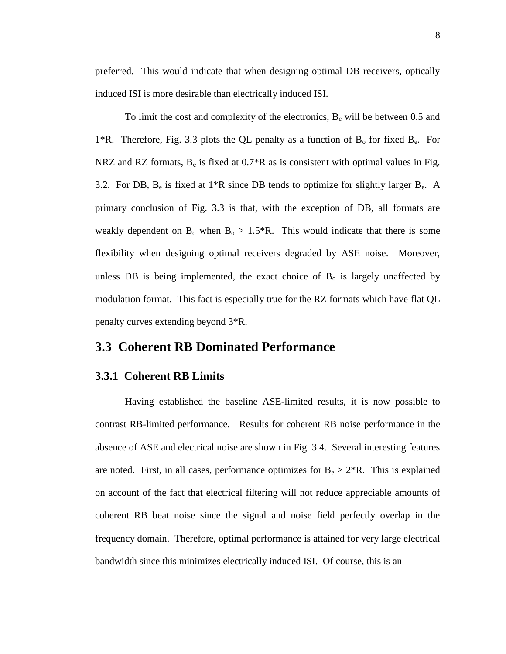preferred. This would indicate that when designing optimal DB receivers, optically induced ISI is more desirable than electrically induced ISI.

To limit the cost and complexity of the electronics,  $B_e$  will be between 0.5 and 1<sup>\*</sup>R. Therefore, Fig. 3.3 plots the QL penalty as a function of  $B_0$  for fixed  $B_e$ . For NRZ and RZ formats,  $B_e$  is fixed at  $0.7^*R$  as is consistent with optimal values in Fig. 3.2. For DB,  $B_e$  is fixed at 1\*R since DB tends to optimize for slightly larger  $B_e$ . A primary conclusion of Fig. 3.3 is that, with the exception of DB, all formats are weakly dependent on  $B_0$  when  $B_0 > 1.5$ \*R. This would indicate that there is some flexibility when designing optimal receivers degraded by ASE noise. Moreover, unless DB is being implemented, the exact choice of  $B_0$  is largely unaffected by modulation format. This fact is especially true for the RZ formats which have flat QL penalty curves extending beyond 3\*R.

## **3.3 Coherent RB Dominated Performance**

#### **3.3.1 Coherent RB Limits**

Having established the baseline ASE-limited results, it is now possible to contrast RB-limited performance. Results for coherent RB noise performance in the absence of ASE and electrical noise are shown in Fig. 3.4. Several interesting features are noted. First, in all cases, performance optimizes for  $B_e > 2*R$ . This is explained on account of the fact that electrical filtering will not reduce appreciable amounts of coherent RB beat noise since the signal and noise field perfectly overlap in the frequency domain. Therefore, optimal performance is attained for very large electrical bandwidth since this minimizes electrically induced ISI. Of course, this is an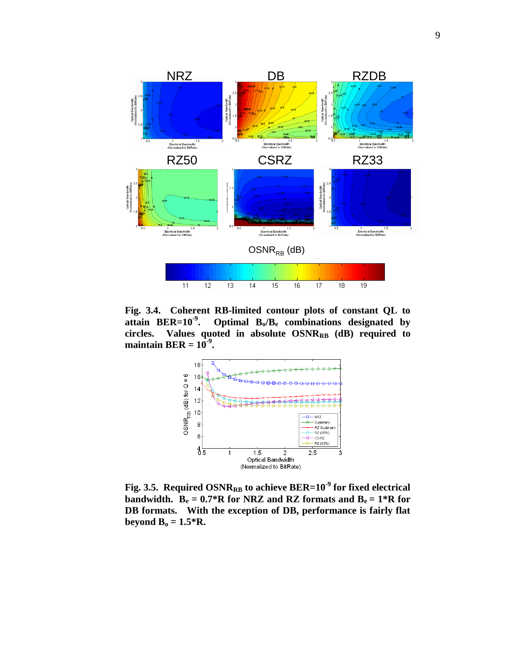

**Fig. 3.4. Coherent RB-limited contour plots of constant QL to attain BER=10-9 . Optimal Bo/B<sup>e</sup> combinations designated by circles. Values quoted in absolute OSNRRB (dB) required to**  maintain  $BER = 10^{-9}$ .



**Fig. 3.5. Required OSNRRB to achieve BER=10-9 for fixed electrical bandwidth.**  $B_e = 0.7 * R$  for NRZ and RZ formats and  $B_e = 1 * R$  for **DB formats. With the exception of DB, performance is fairly flat beyond**  $B_0 = 1.5 * R$ **.**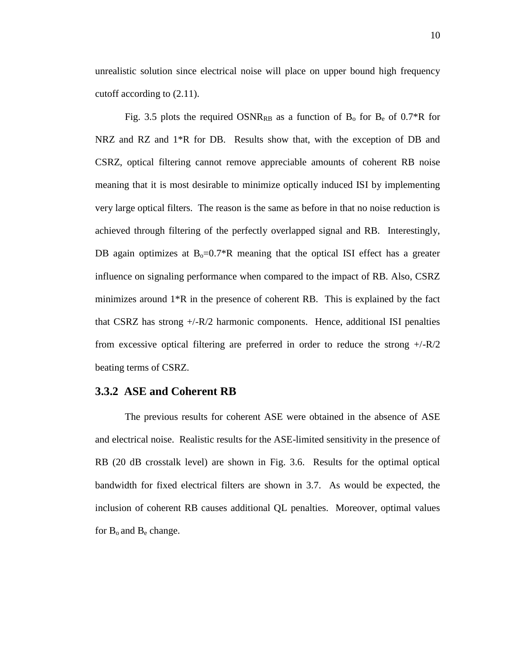unrealistic solution since electrical noise will place on upper bound high frequency cutoff according to (2.11).

Fig. 3.5 plots the required  $OSNR_{RB}$  as a function of  $B_0$  for  $B_e$  of 0.7\*R for NRZ and RZ and 1\*R for DB. Results show that, with the exception of DB and CSRZ, optical filtering cannot remove appreciable amounts of coherent RB noise meaning that it is most desirable to minimize optically induced ISI by implementing very large optical filters. The reason is the same as before in that no noise reduction is achieved through filtering of the perfectly overlapped signal and RB. Interestingly, DB again optimizes at  $B_0=0.7*R$  meaning that the optical ISI effect has a greater influence on signaling performance when compared to the impact of RB. Also, CSRZ minimizes around 1\*R in the presence of coherent RB. This is explained by the fact that CSRZ has strong +/-R/2 harmonic components. Hence, additional ISI penalties from excessive optical filtering are preferred in order to reduce the strong  $+/-R/2$ beating terms of CSRZ.

#### **3.3.2 ASE and Coherent RB**

The previous results for coherent ASE were obtained in the absence of ASE and electrical noise. Realistic results for the ASE-limited sensitivity in the presence of RB (20 dB crosstalk level) are shown in Fig. 3.6. Results for the optimal optical bandwidth for fixed electrical filters are shown in 3.7. As would be expected, the inclusion of coherent RB causes additional QL penalties. Moreover, optimal values for  $B_0$  and  $B_e$  change.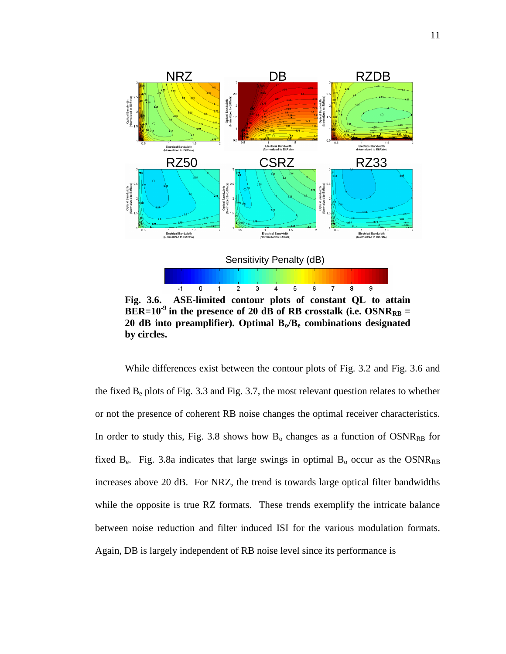

**Fig. 3.6. ASE-limited contour plots of constant QL to attain**   $BER=10^{-9}$  in the presence of 20 dB of RB crosstalk (i.e.  $OSNR_{RB} =$ **20 dB into preamplifier). Optimal Bo/B<sup>e</sup> combinations designated by circles.** 

While differences exist between the contour plots of Fig. 3.2 and Fig. 3.6 and the fixed  $B_e$  plots of Fig. 3.3 and Fig. 3.7, the most relevant question relates to whether or not the presence of coherent RB noise changes the optimal receiver characteristics. In order to study this, Fig. 3.8 shows how  $B_0$  changes as a function of  $OSNR_{RB}$  for fixed  $B_e$ . Fig. 3.8a indicates that large swings in optimal  $B_o$  occur as the OSNR<sub>RB</sub> increases above 20 dB. For NRZ, the trend is towards large optical filter bandwidths while the opposite is true RZ formats. These trends exemplify the intricate balance between noise reduction and filter induced ISI for the various modulation formats. Again, DB is largely independent of RB noise level since its performance is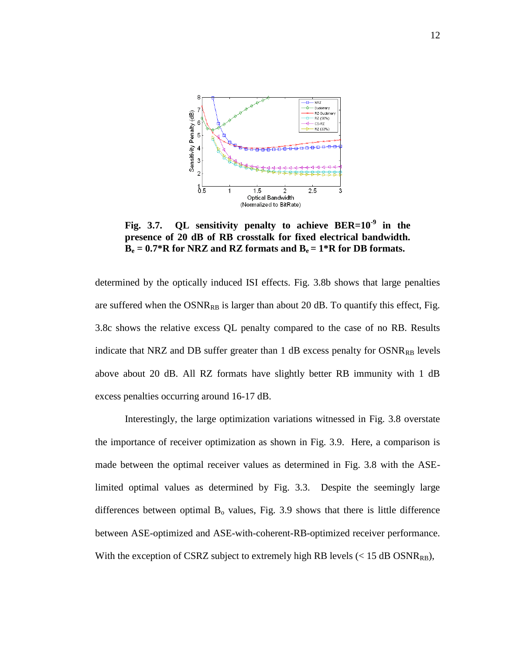

**Fig. 3.7. QL sensitivity penalty to achieve BER=10-9 in the presence of 20 dB of RB crosstalk for fixed electrical bandwidth.**   $B_e = 0.7 * R$  for NRZ and RZ formats and  $B_e = 1 * R$  for DB formats.

determined by the optically induced ISI effects. Fig. 3.8b shows that large penalties are suffered when the  $OSNR_{RB}$  is larger than about 20 dB. To quantify this effect, Fig. 3.8c shows the relative excess QL penalty compared to the case of no RB. Results indicate that NRZ and DB suffer greater than  $1$  dB excess penalty for  $OSNR_{RB}$  levels above about 20 dB. All RZ formats have slightly better RB immunity with 1 dB excess penalties occurring around 16-17 dB.

Interestingly, the large optimization variations witnessed in Fig. 3.8 overstate the importance of receiver optimization as shown in Fig. 3.9. Here, a comparison is made between the optimal receiver values as determined in Fig. 3.8 with the ASElimited optimal values as determined by Fig. 3.3. Despite the seemingly large differences between optimal  $B_0$  values, Fig. 3.9 shows that there is little difference between ASE-optimized and ASE-with-coherent-RB-optimized receiver performance. With the exception of CSRZ subject to extremely high RB levels  $(< 15$  dB OSNR<sub>RB</sub>),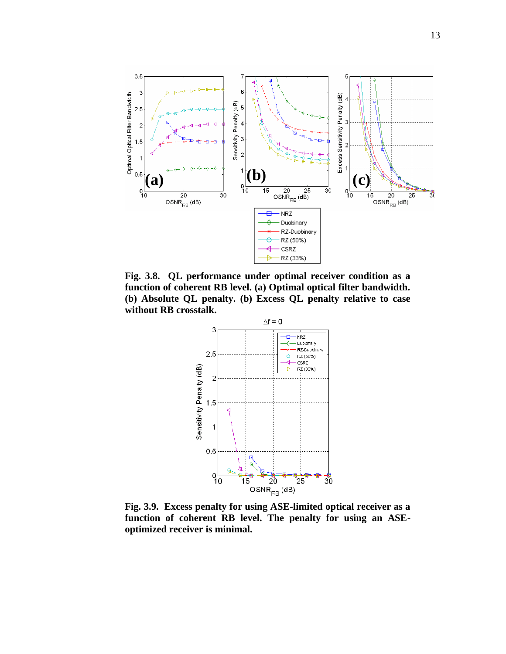

**Fig. 3.8. QL performance under optimal receiver condition as a function of coherent RB level. (a) Optimal optical filter bandwidth. (b) Absolute QL penalty. (b) Excess QL penalty relative to case without RB crosstalk.** 



**Fig. 3.9. Excess penalty for using ASE-limited optical receiver as a function of coherent RB level. The penalty for using an ASEoptimized receiver is minimal.**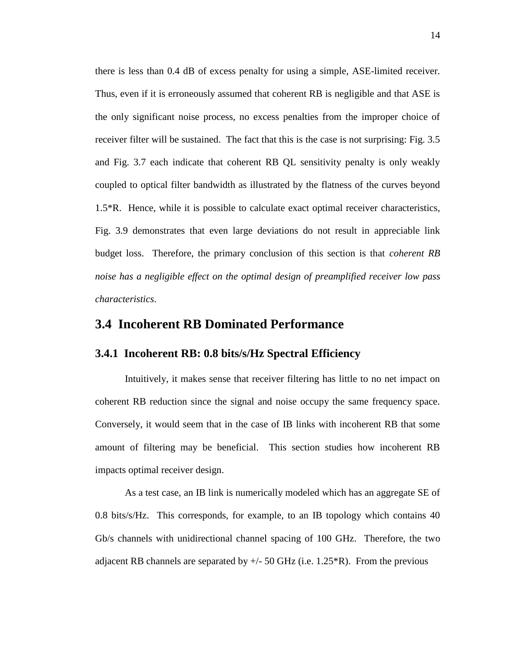there is less than 0.4 dB of excess penalty for using a simple, ASE-limited receiver. Thus, even if it is erroneously assumed that coherent RB is negligible and that ASE is the only significant noise process, no excess penalties from the improper choice of receiver filter will be sustained. The fact that this is the case is not surprising: Fig. 3.5 and Fig. 3.7 each indicate that coherent RB QL sensitivity penalty is only weakly coupled to optical filter bandwidth as illustrated by the flatness of the curves beyond 1.5\*R. Hence, while it is possible to calculate exact optimal receiver characteristics, Fig. 3.9 demonstrates that even large deviations do not result in appreciable link budget loss. Therefore, the primary conclusion of this section is that *coherent RB noise has a negligible effect on the optimal design of preamplified receiver low pass characteristics*.

## **3.4 Incoherent RB Dominated Performance**

### **3.4.1 Incoherent RB: 0.8 bits/s/Hz Spectral Efficiency**

Intuitively, it makes sense that receiver filtering has little to no net impact on coherent RB reduction since the signal and noise occupy the same frequency space. Conversely, it would seem that in the case of IB links with incoherent RB that some amount of filtering may be beneficial. This section studies how incoherent RB impacts optimal receiver design.

As a test case, an IB link is numerically modeled which has an aggregate SE of 0.8 bits/s/Hz. This corresponds, for example, to an IB topology which contains 40 Gb/s channels with unidirectional channel spacing of 100 GHz. Therefore, the two adjacent RB channels are separated by  $+/-50$  GHz (i.e. 1.25<sup>\*</sup>R). From the previous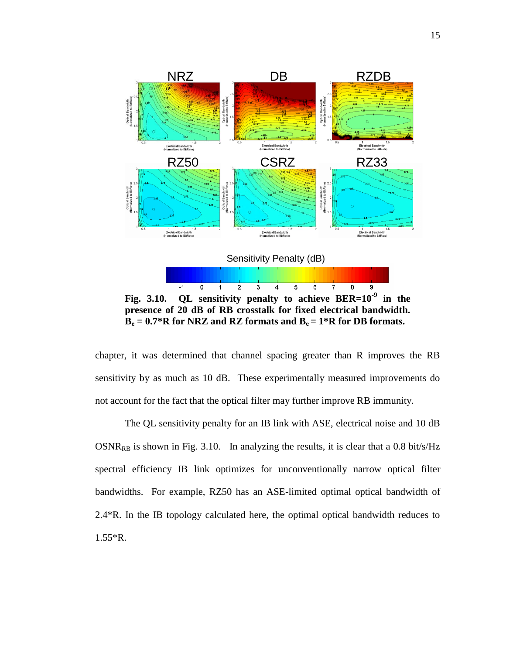

chapter, it was determined that channel spacing greater than R improves the RB sensitivity by as much as 10 dB. These experimentally measured improvements do not account for the fact that the optical filter may further improve RB immunity.

The QL sensitivity penalty for an IB link with ASE, electrical noise and 10 dB  $OSNR_{RB}$  is shown in Fig. 3.10. In analyzing the results, it is clear that a 0.8 bit/s/Hz spectral efficiency IB link optimizes for unconventionally narrow optical filter bandwidths. For example, RZ50 has an ASE-limited optimal optical bandwidth of 2.4\*R. In the IB topology calculated here, the optimal optical bandwidth reduces to 1.55\*R.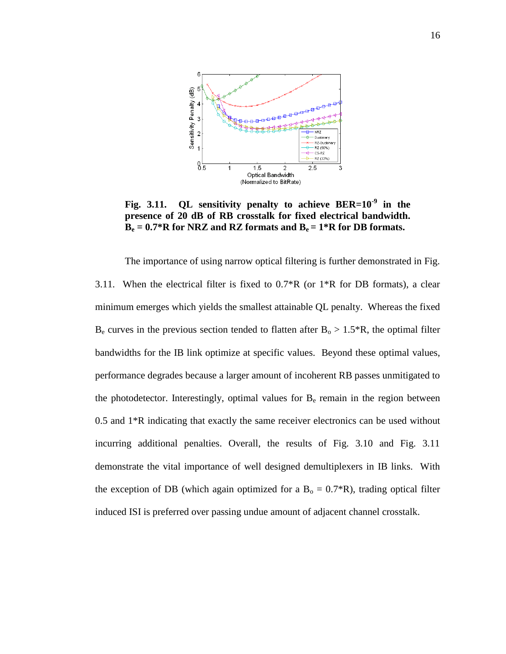

**Fig. 3.11. QL sensitivity penalty to achieve BER=10-9 in the presence of 20 dB of RB crosstalk for fixed electrical bandwidth.**   $B_e = 0.7 * R$  for NRZ and RZ formats and  $B_e = 1 * R$  for DB formats.

The importance of using narrow optical filtering is further demonstrated in Fig. 3.11. When the electrical filter is fixed to  $0.7^*R$  (or  $1^*R$  for DB formats), a clear minimum emerges which yields the smallest attainable QL penalty. Whereas the fixed  $B_e$  curves in the previous section tended to flatten after  $B_o > 1.5$ <sup>\*</sup>R, the optimal filter bandwidths for the IB link optimize at specific values. Beyond these optimal values, performance degrades because a larger amount of incoherent RB passes unmitigated to the photodetector. Interestingly, optimal values for  $B<sub>e</sub>$  remain in the region between 0.5 and 1\*R indicating that exactly the same receiver electronics can be used without incurring additional penalties. Overall, the results of Fig. 3.10 and Fig. 3.11 demonstrate the vital importance of well designed demultiplexers in IB links. With the exception of DB (which again optimized for a  $B_0 = 0.7$ \*R), trading optical filter induced ISI is preferred over passing undue amount of adjacent channel crosstalk.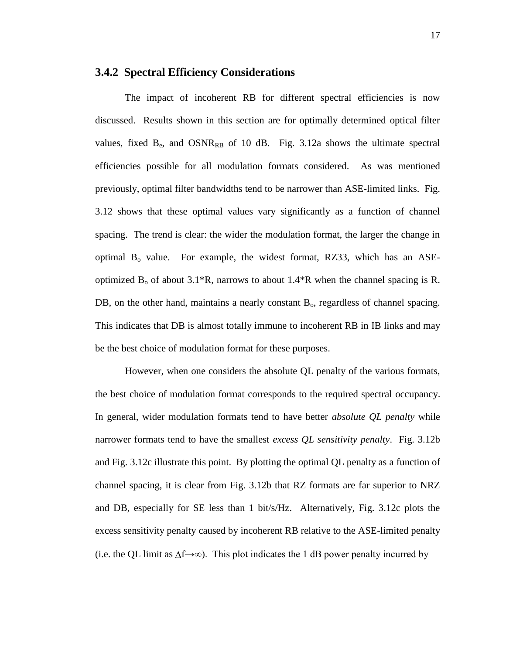#### **3.4.2 Spectral Efficiency Considerations**

The impact of incoherent RB for different spectral efficiencies is now discussed. Results shown in this section are for optimally determined optical filter values, fixed  $B_e$ , and  $OSNR_{RB}$  of 10 dB. Fig. 3.12a shows the ultimate spectral efficiencies possible for all modulation formats considered. As was mentioned previously, optimal filter bandwidths tend to be narrower than ASE-limited links. Fig. 3.12 shows that these optimal values vary significantly as a function of channel spacing. The trend is clear: the wider the modulation format, the larger the change in optimal  $B_0$  value. For example, the widest format, RZ33, which has an ASEoptimized  $B_0$  of about 3.1\*R, narrows to about 1.4\*R when the channel spacing is R. DB, on the other hand, maintains a nearly constant  $B_0$ , regardless of channel spacing. This indicates that DB is almost totally immune to incoherent RB in IB links and may be the best choice of modulation format for these purposes.

However, when one considers the absolute QL penalty of the various formats, the best choice of modulation format corresponds to the required spectral occupancy. In general, wider modulation formats tend to have better *absolute QL penalty* while narrower formats tend to have the smallest *excess QL sensitivity penalty*. Fig. 3.12b and Fig. 3.12c illustrate this point. By plotting the optimal QL penalty as a function of channel spacing, it is clear from Fig. 3.12b that RZ formats are far superior to NRZ and DB, especially for SE less than 1 bit/s/Hz. Alternatively, Fig. 3.12c plots the excess sensitivity penalty caused by incoherent RB relative to the ASE-limited penalty (i.e. the QL limit as  $\Delta f \rightarrow \infty$ ). This plot indicates the 1 dB power penalty incurred by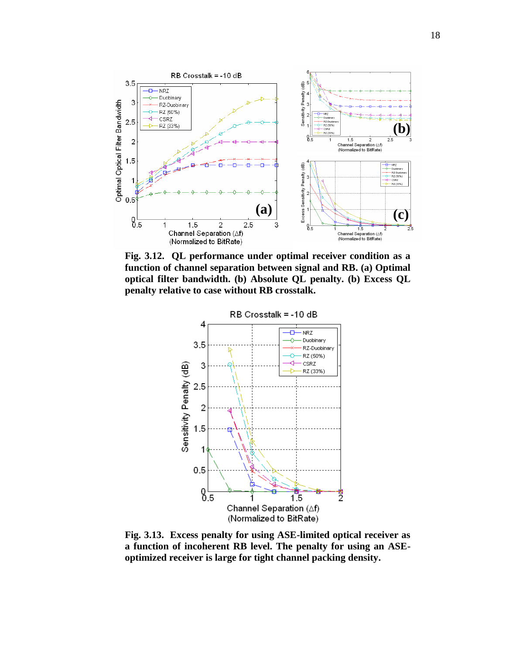

**Fig. 3.12. QL performance under optimal receiver condition as a function of channel separation between signal and RB. (a) Optimal optical filter bandwidth. (b) Absolute QL penalty. (b) Excess QL penalty relative to case without RB crosstalk.** 



**Fig. 3.13. Excess penalty for using ASE-limited optical receiver as a function of incoherent RB level. The penalty for using an ASEoptimized receiver is large for tight channel packing density.**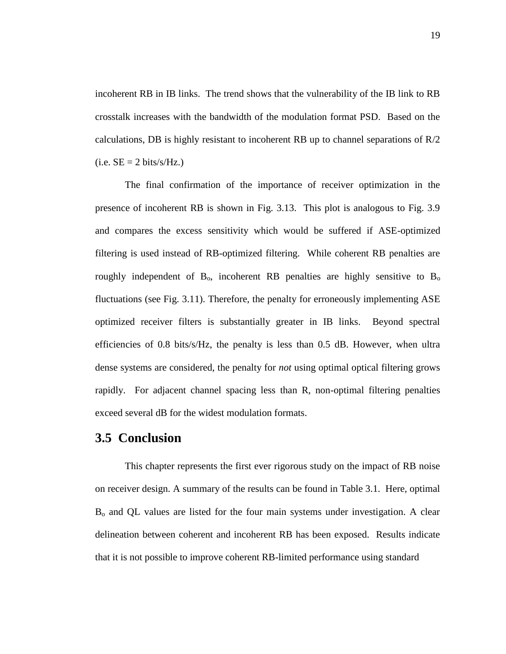incoherent RB in IB links. The trend shows that the vulnerability of the IB link to RB crosstalk increases with the bandwidth of the modulation format PSD. Based on the calculations, DB is highly resistant to incoherent RB up to channel separations of  $R/2$  $(i.e. SE = 2 bits/s/Hz.)$ 

The final confirmation of the importance of receiver optimization in the presence of incoherent RB is shown in Fig. 3.13. This plot is analogous to Fig. 3.9 and compares the excess sensitivity which would be suffered if ASE-optimized filtering is used instead of RB-optimized filtering. While coherent RB penalties are roughly independent of  $B_0$ , incoherent RB penalties are highly sensitive to  $B_0$ fluctuations (see Fig. 3.11). Therefore, the penalty for erroneously implementing ASE optimized receiver filters is substantially greater in IB links. Beyond spectral efficiencies of 0.8 bits/s/Hz, the penalty is less than 0.5 dB. However, when ultra dense systems are considered, the penalty for *not* using optimal optical filtering grows rapidly. For adjacent channel spacing less than R, non-optimal filtering penalties exceed several dB for the widest modulation formats.

## **3.5 Conclusion**

This chapter represents the first ever rigorous study on the impact of RB noise on receiver design. A summary of the results can be found in Table 3.1. Here, optimal B<sup>o</sup> and QL values are listed for the four main systems under investigation. A clear delineation between coherent and incoherent RB has been exposed. Results indicate that it is not possible to improve coherent RB-limited performance using standard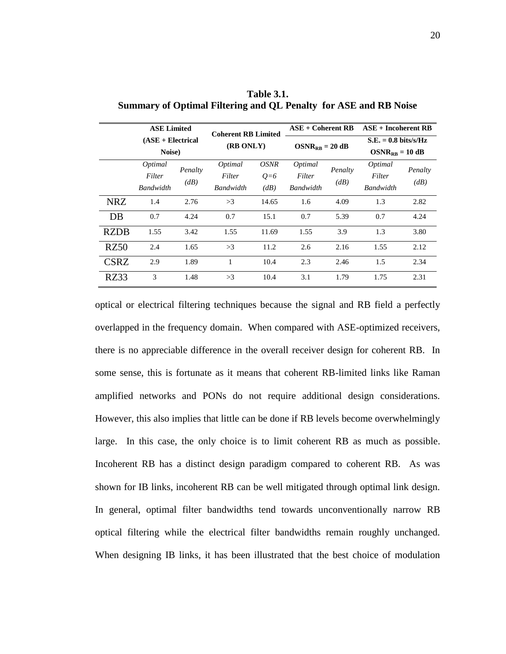|             | <b>ASE Limited</b><br>$(ASE + Electrical)$<br>Noise) |                 | <b>Coherent RB Limited</b><br>(RB ONLY) |             | $ASE + Coherent RB$ |                 | $ASE + Incoherent RB$          |         |
|-------------|------------------------------------------------------|-----------------|-----------------------------------------|-------------|---------------------|-----------------|--------------------------------|---------|
|             |                                                      |                 |                                         |             | $OSNR_{RB} = 20$ dB |                 | $S.E. = 0.8 \text{ bits/s/Hz}$ |         |
|             |                                                      |                 |                                         |             |                     |                 | $OSNR_{RR} = 10$ dB            |         |
|             | Optimal                                              | Penalty<br>(dB) | Optimal                                 | <i>OSNR</i> | Optimal             | Penalty<br>(dB) | Optimal                        | Penalty |
|             | Filter                                               |                 | Filter                                  | $Q=6$       | Filter              |                 | Filter                         | (dB)    |
|             | <b>Bandwidth</b>                                     |                 | Bandwidth                               | (dB)        | Bandwidth           |                 | Bandwidth                      |         |
| <b>NRZ</b>  | 1.4                                                  | 2.76            | >3                                      | 14.65       | 1.6                 | 4.09            | 1.3                            | 2.82    |
| DB          | 0.7                                                  | 4.24            | 0.7                                     | 15.1        | 0.7                 | 5.39            | 0.7                            | 4.24    |
| <b>RZDB</b> | 1.55                                                 | 3.42            | 1.55                                    | 11.69       | 1.55                | 3.9             | 1.3                            | 3.80    |
| RZ50        | 2.4                                                  | 1.65            | >3                                      | 11.2        | 2.6                 | 2.16            | 1.55                           | 2.12    |
| <b>CSRZ</b> | 2.9                                                  | 1.89            | 1                                       | 10.4        | 2.3                 | 2.46            | 1.5                            | 2.34    |
| RZ33        | 3                                                    | 1.48            | >3                                      | 10.4        | 3.1                 | 1.79            | 1.75                           | 2.31    |

**Table 3.1. Summary of Optimal Filtering and QL Penalty for ASE and RB Noise**

optical or electrical filtering techniques because the signal and RB field a perfectly overlapped in the frequency domain. When compared with ASE-optimized receivers, there is no appreciable difference in the overall receiver design for coherent RB. In some sense, this is fortunate as it means that coherent RB-limited links like Raman amplified networks and PONs do not require additional design considerations. However, this also implies that little can be done if RB levels become overwhelmingly large. In this case, the only choice is to limit coherent RB as much as possible. Incoherent RB has a distinct design paradigm compared to coherent RB. As was shown for IB links, incoherent RB can be well mitigated through optimal link design. In general, optimal filter bandwidths tend towards unconventionally narrow RB optical filtering while the electrical filter bandwidths remain roughly unchanged. When designing IB links, it has been illustrated that the best choice of modulation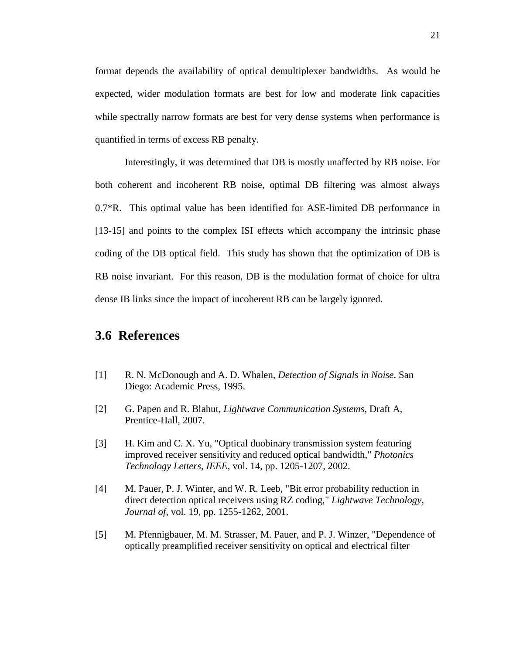format depends the availability of optical demultiplexer bandwidths. As would be expected, wider modulation formats are best for low and moderate link capacities while spectrally narrow formats are best for very dense systems when performance is quantified in terms of excess RB penalty.

Interestingly, it was determined that DB is mostly unaffected by RB noise. For both coherent and incoherent RB noise, optimal DB filtering was almost always 0.7\*R. This optimal value has been identified for ASE-limited DB performance in [13-15] and points to the complex ISI effects which accompany the intrinsic phase coding of the DB optical field. This study has shown that the optimization of DB is RB noise invariant. For this reason, DB is the modulation format of choice for ultra dense IB links since the impact of incoherent RB can be largely ignored.

## **3.6 References**

- [1] R. N. McDonough and A. D. Whalen, *Detection of Signals in Noise*. San Diego: Academic Press, 1995.
- [2] G. Papen and R. Blahut, *Lightwave Communication Systems*, Draft A, Prentice-Hall, 2007.
- [3] H. Kim and C. X. Yu, "Optical duobinary transmission system featuring improved receiver sensitivity and reduced optical bandwidth," *Photonics Technology Letters, IEEE*, vol. 14, pp. 1205-1207, 2002.
- [4] M. Pauer, P. J. Winter, and W. R. Leeb, "Bit error probability reduction in direct detection optical receivers using RZ coding," *Lightwave Technology, Journal of*, vol. 19, pp. 1255-1262, 2001.
- [5] M. Pfennigbauer, M. M. Strasser, M. Pauer, and P. J. Winzer, "Dependence of optically preamplified receiver sensitivity on optical and electrical filter